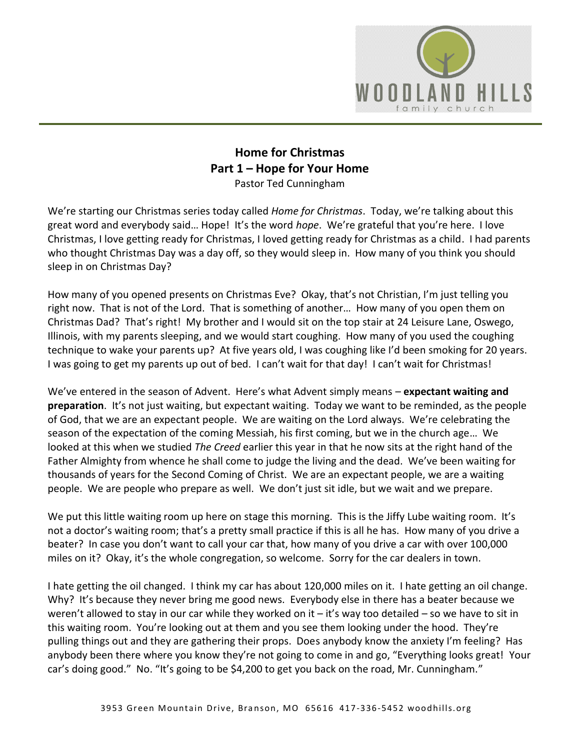

## **Home for Christmas Part 1 – Hope for Your Home** Pastor Ted Cunningham

We're starting our Christmas series today called *Home for Christmas*. Today, we're talking about this great word and everybody said… Hope! It's the word *hope*. We're grateful that you're here. I love Christmas, I love getting ready for Christmas, I loved getting ready for Christmas as a child. I had parents who thought Christmas Day was a day off, so they would sleep in. How many of you think you should sleep in on Christmas Day?

How many of you opened presents on Christmas Eve? Okay, that's not Christian, I'm just telling you right now. That is not of the Lord. That is something of another… How many of you open them on Christmas Dad? That's right! My brother and I would sit on the top stair at 24 Leisure Lane, Oswego, Illinois, with my parents sleeping, and we would start coughing. How many of you used the coughing technique to wake your parents up? At five years old, I was coughing like I'd been smoking for 20 years. I was going to get my parents up out of bed. I can't wait for that day! I can't wait for Christmas!

We've entered in the season of Advent. Here's what Advent simply means – **expectant waiting and preparation**. It's not just waiting, but expectant waiting. Today we want to be reminded, as the people of God, that we are an expectant people. We are waiting on the Lord always. We're celebrating the season of the expectation of the coming Messiah, his first coming, but we in the church age… We looked at this when we studied *The Creed* earlier this year in that he now sits at the right hand of the Father Almighty from whence he shall come to judge the living and the dead. We've been waiting for thousands of years for the Second Coming of Christ. We are an expectant people, we are a waiting people. We are people who prepare as well. We don't just sit idle, but we wait and we prepare.

We put this little waiting room up here on stage this morning. This is the Jiffy Lube waiting room. It's not a doctor's waiting room; that's a pretty small practice if this is all he has. How many of you drive a beater? In case you don't want to call your car that, how many of you drive a car with over 100,000 miles on it? Okay, it's the whole congregation, so welcome. Sorry for the car dealers in town.

I hate getting the oil changed. I think my car has about 120,000 miles on it. I hate getting an oil change. Why? It's because they never bring me good news. Everybody else in there has a beater because we weren't allowed to stay in our car while they worked on it – it's way too detailed – so we have to sit in this waiting room. You're looking out at them and you see them looking under the hood. They're pulling things out and they are gathering their props. Does anybody know the anxiety I'm feeling? Has anybody been there where you know they're not going to come in and go, "Everything looks great! Your car's doing good." No. "It's going to be \$4,200 to get you back on the road, Mr. Cunningham."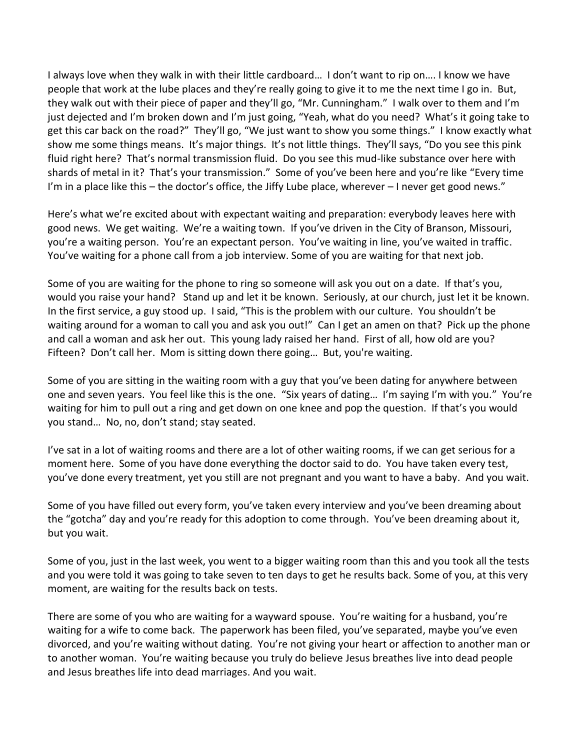I always love when they walk in with their little cardboard… I don't want to rip on…. I know we have people that work at the lube places and they're really going to give it to me the next time I go in. But, they walk out with their piece of paper and they'll go, "Mr. Cunningham." I walk over to them and I'm just dejected and I'm broken down and I'm just going, "Yeah, what do you need? What's it going take to get this car back on the road?" They'll go, "We just want to show you some things." I know exactly what show me some things means. It's major things. It's not little things. They'll says, "Do you see this pink fluid right here? That's normal transmission fluid. Do you see this mud-like substance over here with shards of metal in it? That's your transmission." Some of you've been here and you're like "Every time I'm in a place like this  $-$  the doctor's office, the Jiffy Lube place, wherever  $-1$  never get good news."

Here's what we're excited about with expectant waiting and preparation: everybody leaves here with good news. We get waiting. We're a waiting town. If you've driven in the City of Branson, Missouri, you're a waiting person. You're an expectant person. You've waiting in line, you've waited in traffic. You've waiting for a phone call from a job interview. Some of you are waiting for that next job.

Some of you are waiting for the phone to ring so someone will ask you out on a date. If that's you, would you raise your hand? Stand up and let it be known. Seriously, at our church, just let it be known. In the first service, a guy stood up. I said, "This is the problem with our culture. You shouldn't be waiting around for a woman to call you and ask you out!" Can I get an amen on that? Pick up the phone and call a woman and ask her out. This young lady raised her hand. First of all, how old are you? Fifteen? Don't call her. Mom is sitting down there going… But, you're waiting.

Some of you are sitting in the waiting room with a guy that you've been dating for anywhere between one and seven years. You feel like this is the one. "Six years of dating… I'm saying I'm with you." You're waiting for him to pull out a ring and get down on one knee and pop the question. If that's you would you stand… No, no, don't stand; stay seated.

I've sat in a lot of waiting rooms and there are a lot of other waiting rooms, if we can get serious for a moment here. Some of you have done everything the doctor said to do. You have taken every test, you've done every treatment, yet you still are not pregnant and you want to have a baby. And you wait.

Some of you have filled out every form, you've taken every interview and you've been dreaming about the "gotcha" day and you're ready for this adoption to come through. You've been dreaming about it, but you wait.

Some of you, just in the last week, you went to a bigger waiting room than this and you took all the tests and you were told it was going to take seven to ten days to get he results back. Some of you, at this very moment, are waiting for the results back on tests.

There are some of you who are waiting for a wayward spouse. You're waiting for a husband, you're waiting for a wife to come back. The paperwork has been filed, you've separated, maybe you've even divorced, and you're waiting without dating. You're not giving your heart or affection to another man or to another woman. You're waiting because you truly do believe Jesus breathes live into dead people and Jesus breathes life into dead marriages. And you wait.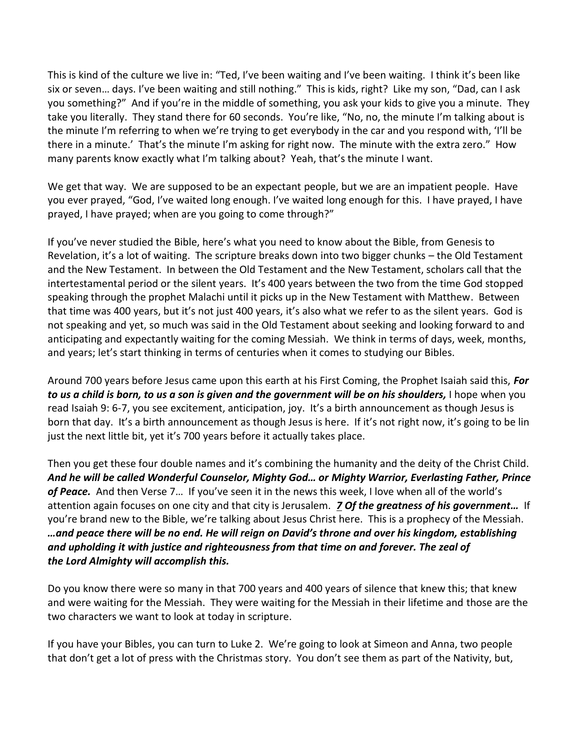This is kind of the culture we live in: "Ted, I've been waiting and I've been waiting. I think it's been like six or seven… days. I've been waiting and still nothing." This is kids, right? Like my son, "Dad, can I ask you something?" And if you're in the middle of something, you ask your kids to give you a minute. They take you literally. They stand there for 60 seconds. You're like, "No, no, the minute I'm talking about is the minute I'm referring to when we're trying to get everybody in the car and you respond with, 'I'll be there in a minute.' That's the minute I'm asking for right now. The minute with the extra zero." How many parents know exactly what I'm talking about? Yeah, that's the minute I want.

We get that way. We are supposed to be an expectant people, but we are an impatient people. Have you ever prayed, "God, I've waited long enough. I've waited long enough for this. I have prayed, I have prayed, I have prayed; when are you going to come through?"

If you've never studied the Bible, here's what you need to know about the Bible, from Genesis to Revelation, it's a lot of waiting. The scripture breaks down into two bigger chunks – the Old Testament and the New Testament. In between the Old Testament and the New Testament, scholars call that the intertestamental period or the silent years. It's 400 years between the two from the time God stopped speaking through the prophet Malachi until it picks up in the New Testament with Matthew. Between that time was 400 years, but it's not just 400 years, it's also what we refer to as the silent years. God is not speaking and yet, so much was said in the Old Testament about seeking and looking forward to and anticipating and expectantly waiting for the coming Messiah. We think in terms of days, week, months, and years; let's start thinking in terms of centuries when it comes to studying our Bibles.

Around 700 years before Jesus came upon this earth at his First Coming, the Prophet Isaiah said this, *For to us a child is born, to us a son is given and the government will be on his shoulders,* I hope when you read Isaiah 9: 6-7, you see excitement, anticipation, joy. It's a birth announcement as though Jesus is born that day. It's a birth announcement as though Jesus is here. If it's not right now, it's going to be lin just the next little bit, yet it's 700 years before it actually takes place.

Then you get these four double names and it's combining the humanity and the deity of the Christ Child. *And he will be called Wonderful Counselor, Mighty God… or Mighty Warrior, Everlasting Father, Prince of Peace.* And then Verse 7… If you've seen it in the news this week, I love when all of the world's attention again focuses on one city and that city is Jerusalem. *[7](https://www.studylight.org/desk/?q=isa%209:7&t1=en_niv&sr=1) Of the greatness of his government…* If you're brand new to the Bible, we're talking about Jesus Christ here. This is a prophecy of the Messiah. *…and peace there will be no end. He will reign on David's throne and over his kingdom, establishing and upholding it with justice and righteousness from that time on and forever. The zeal of the Lord Almighty will accomplish this.*

Do you know there were so many in that 700 years and 400 years of silence that knew this; that knew and were waiting for the Messiah. They were waiting for the Messiah in their lifetime and those are the two characters we want to look at today in scripture.

If you have your Bibles, you can turn to Luke 2. We're going to look at Simeon and Anna, two people that don't get a lot of press with the Christmas story. You don't see them as part of the Nativity, but,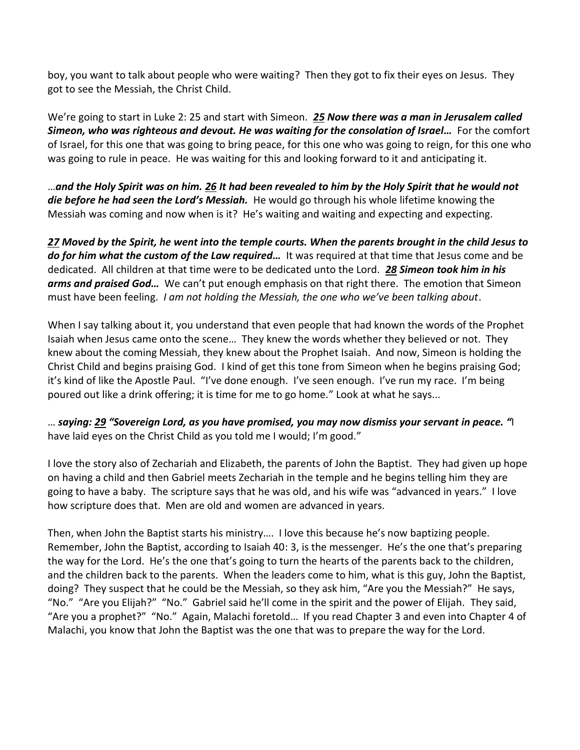boy, you want to talk about people who were waiting? Then they got to fix their eyes on Jesus. They got to see the Messiah, the Christ Child.

We're going to start in Luke 2: 25 and start with Simeon. *[25](https://www.studylight.org/desk/?q=lu%202:25&t1=en_niv&sr=1) Now there was a man in Jerusalem called Simeon, who was righteous and devout. He was waiting for the consolation of Israel…* For the comfort of Israel, for this one that was going to bring peace, for this one who was going to reign, for this one who was going to rule in peace. He was waiting for this and looking forward to it and anticipating it.

…*and the Holy Spirit was on him. [26](https://www.studylight.org/desk/?q=lu%202:26&t1=en_niv&sr=1) It had been revealed to him by the Holy Spirit that he would not die before he had seen the Lord's Messiah.* He would go through his whole lifetime knowing the Messiah was coming and now when is it? He's waiting and waiting and expecting and expecting.

*[27](https://www.studylight.org/desk/?q=lu%202:27&t1=en_niv&sr=1) Moved by the Spirit, he went into the temple courts. When the parents brought in the child Jesus to do for him what the custom of the Law required…* It was required at that time that Jesus come and be dedicated. All children at that time were to be dedicated unto the Lord. *[28](https://www.studylight.org/desk/?q=lu%202:28&t1=en_niv&sr=1) Simeon took him in his arms and praised God…* We can't put enough emphasis on that right there. The emotion that Simeon must have been feeling. *I am not holding the Messiah, the one who we've been talking about*.

When I say talking about it, you understand that even people that had known the words of the Prophet Isaiah when Jesus came onto the scene… They knew the words whether they believed or not. They knew about the coming Messiah, they knew about the Prophet Isaiah. And now, Simeon is holding the Christ Child and begins praising God. I kind of get this tone from Simeon when he begins praising God; it's kind of like the Apostle Paul. "I've done enough. I've seen enough. I've run my race. I'm being poured out like a drink offering; it is time for me to go home." Look at what he says...

… *saying[: 29](https://www.studylight.org/desk/?q=lu%202:29&t1=en_niv&sr=1) "Sovereign Lord, as you have promised, you may now dismiss your servant in peace. "*I have laid eyes on the Christ Child as you told me I would; I'm good."

I love the story also of Zechariah and Elizabeth, the parents of John the Baptist. They had given up hope on having a child and then Gabriel meets Zechariah in the temple and he begins telling him they are going to have a baby. The scripture says that he was old, and his wife was "advanced in years." I love how scripture does that. Men are old and women are advanced in years.

Then, when John the Baptist starts his ministry…. I love this because he's now baptizing people. Remember, John the Baptist, according to Isaiah 40: 3, is the messenger. He's the one that's preparing the way for the Lord. He's the one that's going to turn the hearts of the parents back to the children, and the children back to the parents. When the leaders come to him, what is this guy, John the Baptist, doing? They suspect that he could be the Messiah, so they ask him, "Are you the Messiah?" He says, "No." "Are you Elijah?" "No." Gabriel said he'll come in the spirit and the power of Elijah. They said, "Are you a prophet?" "No." Again, Malachi foretold… If you read Chapter 3 and even into Chapter 4 of Malachi, you know that John the Baptist was the one that was to prepare the way for the Lord.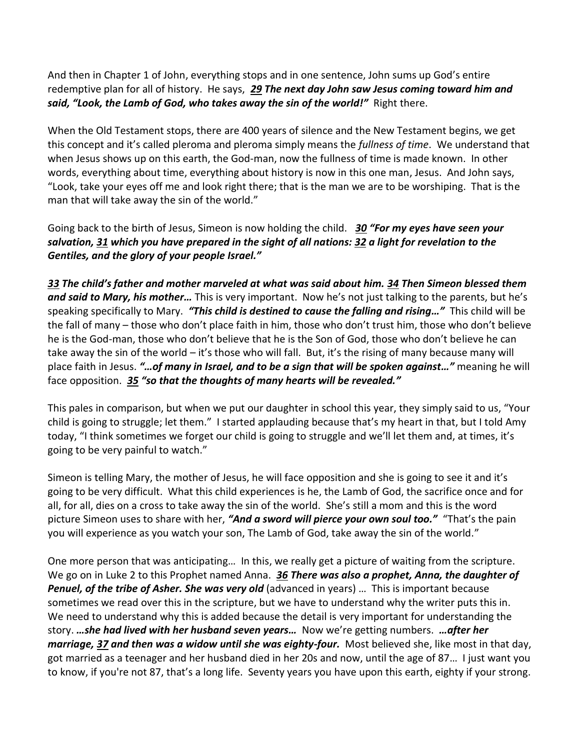And then in Chapter 1 of John, everything stops and in one sentence, John sums up God's entire redemptive plan for all of history. He says, *[29](https://www.studylight.org/desk/?q=joh%201:29&t1=en_niv&sr=1) The next day John saw Jesus coming toward him and said, "Look, the Lamb of God, who takes away the sin of the world!"* Right there.

When the Old Testament stops, there are 400 years of silence and the New Testament begins, we get this concept and it's called pleroma and pleroma simply means the *fullness of time*. We understand that when Jesus shows up on this earth, the God-man, now the fullness of time is made known. In other words, everything about time, everything about history is now in this one man, Jesus. And John says, "Look, take your eyes off me and look right there; that is the man we are to be worshiping. That is the man that will take away the sin of the world."

Going back to the birth of Jesus, Simeon is now holding the child. *[30](https://www.studylight.org/desk/?q=lu%202:30&t1=en_niv&sr=1) "For my eyes have seen your salvation, [31](https://www.studylight.org/desk/?q=lu%202:31&t1=en_niv&sr=1) which you have prepared in the sight of all nations: [32](https://www.studylight.org/desk/?q=lu%202:32&t1=en_niv&sr=1) a light for revelation to the Gentiles, and the glory of your people Israel."*

*[33](https://www.studylight.org/desk/?q=lu%202:33&t1=en_niv&sr=1) The child's father and mother marveled at what was said about him. [34](https://www.studylight.org/desk/?q=lu%202:34&t1=en_niv&sr=1) Then Simeon blessed them and said to Mary, his mother…* This is very important. Now he's not just talking to the parents, but he's speaking specifically to Mary. *"This child is destined to cause the falling and rising…"* This child will be the fall of many – those who don't place faith in him, those who don't trust him, those who don't believe he is the God-man, those who don't believe that he is the Son of God, those who don't believe he can take away the sin of the world – it's those who will fall. But, it's the rising of many because many will place faith in Jesus. *"…of many in Israel, and to be a sign that will be spoken against…"* meaning he will face opposition. *[35](https://www.studylight.org/desk/?q=lu%202:35&t1=en_niv&sr=1) "so that the thoughts of many hearts will be revealed."*

This pales in comparison, but when we put our daughter in school this year, they simply said to us, "Your child is going to struggle; let them." I started applauding because that's my heart in that, but I told Amy today, "I think sometimes we forget our child is going to struggle and we'll let them and, at times, it's going to be very painful to watch."

Simeon is telling Mary, the mother of Jesus, he will face opposition and she is going to see it and it's going to be very difficult. What this child experiences is he, the Lamb of God, the sacrifice once and for all, for all, dies on a cross to take away the sin of the world. She's still a mom and this is the word picture Simeon uses to share with her, *"And a sword will pierce your own soul too."* "That's the pain you will experience as you watch your son, The Lamb of God, take away the sin of the world."

One more person that was anticipating… In this, we really get a picture of waiting from the scripture. We go on in Luke 2 to this Prophet named Anna. *[36](https://www.studylight.org/desk/?q=lu%202:36&t1=en_niv&sr=1) There was also a prophet, Anna, the daughter of Penuel, of the tribe of Asher. She was very old* (advanced in years) … This is important because sometimes we read over this in the scripture, but we have to understand why the writer puts this in. We need to understand why this is added because the detail is very important for understanding the story. *…she had lived with her husband seven years…* Now we're getting numbers. *…after her marriage, [37](https://www.studylight.org/desk/?q=lu%202:37&t1=en_niv&sr=1) and then was a widow until she was eighty-four.* Most believed she, like most in that day, got married as a teenager and her husband died in her 20s and now, until the age of 87… I just want you to know, if you're not 87, that's a long life. Seventy years you have upon this earth, eighty if your strong.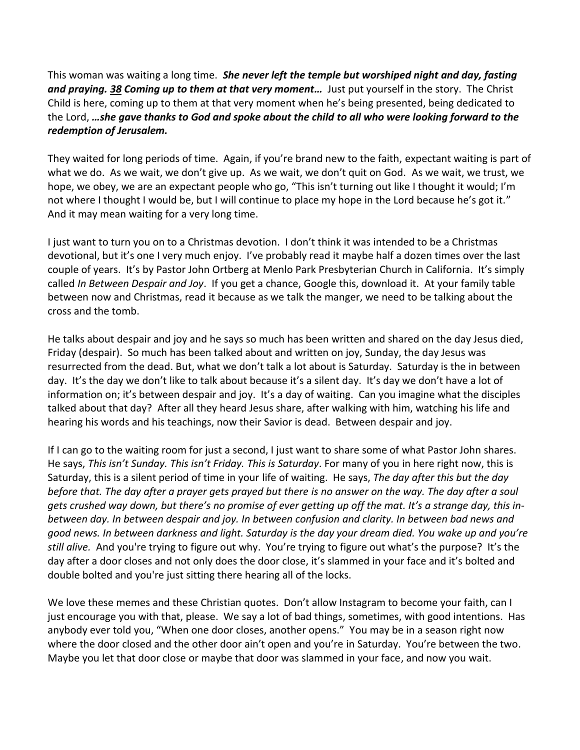This woman was waiting a long time. *She never left the temple but worshiped night and day, fasting and praying. [38](https://www.studylight.org/desk/?q=lu%202:38&t1=en_niv&sr=1) Coming up to them at that very moment…* Just put yourself in the story. The Christ Child is here, coming up to them at that very moment when he's being presented, being dedicated to the Lord, *…she gave thanks to God and spoke about the child to all who were looking forward to the redemption of Jerusalem.*

They waited for long periods of time. Again, if you're brand new to the faith, expectant waiting is part of what we do. As we wait, we don't give up. As we wait, we don't quit on God. As we wait, we trust, we hope, we obey, we are an expectant people who go, "This isn't turning out like I thought it would; I'm not where I thought I would be, but I will continue to place my hope in the Lord because he's got it." And it may mean waiting for a very long time.

I just want to turn you on to a Christmas devotion. I don't think it was intended to be a Christmas devotional, but it's one I very much enjoy. I've probably read it maybe half a dozen times over the last couple of years. It's by Pastor John Ortberg at Menlo Park Presbyterian Church in California. It's simply called *In Between Despair and Joy*. If you get a chance, Google this, download it. At your family table between now and Christmas, read it because as we talk the manger, we need to be talking about the cross and the tomb.

He talks about despair and joy and he says so much has been written and shared on the day Jesus died, Friday (despair). So much has been talked about and written on joy, Sunday, the day Jesus was resurrected from the dead. But, what we don't talk a lot about is Saturday. Saturday is the in between day. It's the day we don't like to talk about because it's a silent day. It's day we don't have a lot of information on; it's between despair and joy. It's a day of waiting. Can you imagine what the disciples talked about that day? After all they heard Jesus share, after walking with him, watching his life and hearing his words and his teachings, now their Savior is dead. Between despair and joy.

If I can go to the waiting room for just a second, I just want to share some of what Pastor John shares. He says, *This isn't Sunday. This isn't Friday. This is Saturday*. For many of you in here right now, this is Saturday, this is a silent period of time in your life of waiting. He says, *The day after this but the day before that. The day after a prayer gets prayed but there is no answer on the way. The day after a soul gets crushed way down, but there's no promise of ever getting up off the mat. It's a strange day, this inbetween day. In between despair and joy. In between confusion and clarity. In between bad news and good news. In between darkness and light. Saturday is the day your dream died. You wake up and you're still alive.* And you're trying to figure out why. You're trying to figure out what's the purpose? It's the day after a door closes and not only does the door close, it's slammed in your face and it's bolted and double bolted and you're just sitting there hearing all of the locks.

We love these memes and these Christian quotes. Don't allow Instagram to become your faith, can I just encourage you with that, please. We say a lot of bad things, sometimes, with good intentions. Has anybody ever told you, "When one door closes, another opens." You may be in a season right now where the door closed and the other door ain't open and you're in Saturday. You're between the two. Maybe you let that door close or maybe that door was slammed in your face, and now you wait.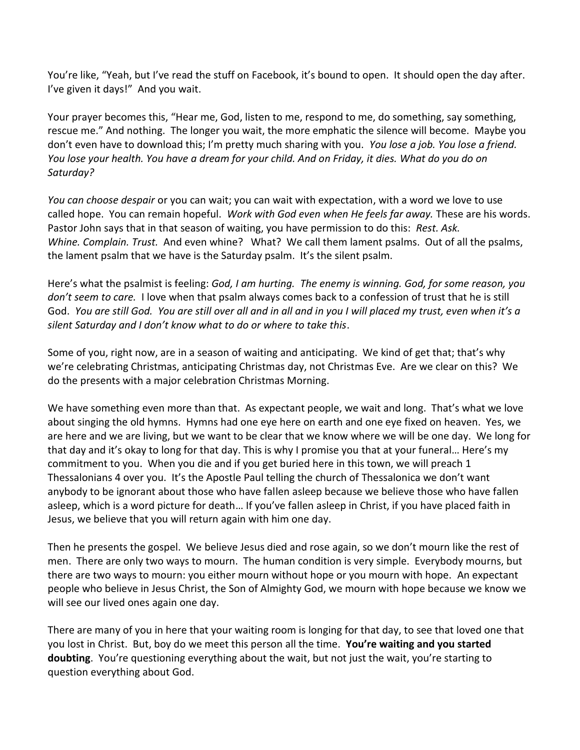You're like, "Yeah, but I've read the stuff on Facebook, it's bound to open. It should open the day after. I've given it days!" And you wait.

Your prayer becomes this, "Hear me, God, listen to me, respond to me, do something, say something, rescue me." And nothing. The longer you wait, the more emphatic the silence will become. Maybe you don't even have to download this; I'm pretty much sharing with you. *You lose a job. You lose a friend. You lose your health. You have a dream for your child. And on Friday, it dies. What do you do on Saturday?* 

*You can choose despair* or you can wait; you can wait with expectation, with a word we love to use called hope. You can remain hopeful. *Work with God even when He feels far away.* These are his words. Pastor John says that in that season of waiting, you have permission to do this: *Rest. Ask. Whine. Complain. Trust.* And even whine? What? We call them lament psalms. Out of all the psalms, the lament psalm that we have is the Saturday psalm. It's the silent psalm.

Here's what the psalmist is feeling: *God, I am hurting. The enemy is winning. God, for some reason, you don't seem to care.* I love when that psalm always comes back to a confession of trust that he is still God. *You are still God. You are still over all and in all and in you I will placed my trust, even when it's a silent Saturday and I don't know what to do or where to take this*.

Some of you, right now, are in a season of waiting and anticipating. We kind of get that; that's why we're celebrating Christmas, anticipating Christmas day, not Christmas Eve. Are we clear on this? We do the presents with a major celebration Christmas Morning.

We have something even more than that. As expectant people, we wait and long. That's what we love about singing the old hymns. Hymns had one eye here on earth and one eye fixed on heaven. Yes, we are here and we are living, but we want to be clear that we know where we will be one day. We long for that day and it's okay to long for that day. This is why I promise you that at your funeral… Here's my commitment to you. When you die and if you get buried here in this town, we will preach 1 Thessalonians 4 over you. It's the Apostle Paul telling the church of Thessalonica we don't want anybody to be ignorant about those who have fallen asleep because we believe those who have fallen asleep, which is a word picture for death… If you've fallen asleep in Christ, if you have placed faith in Jesus, we believe that you will return again with him one day.

Then he presents the gospel. We believe Jesus died and rose again, so we don't mourn like the rest of men. There are only two ways to mourn. The human condition is very simple. Everybody mourns, but there are two ways to mourn: you either mourn without hope or you mourn with hope. An expectant people who believe in Jesus Christ, the Son of Almighty God, we mourn with hope because we know we will see our lived ones again one day.

There are many of you in here that your waiting room is longing for that day, to see that loved one that you lost in Christ. But, boy do we meet this person all the time. **You're waiting and you started doubting**. You're questioning everything about the wait, but not just the wait, you're starting to question everything about God.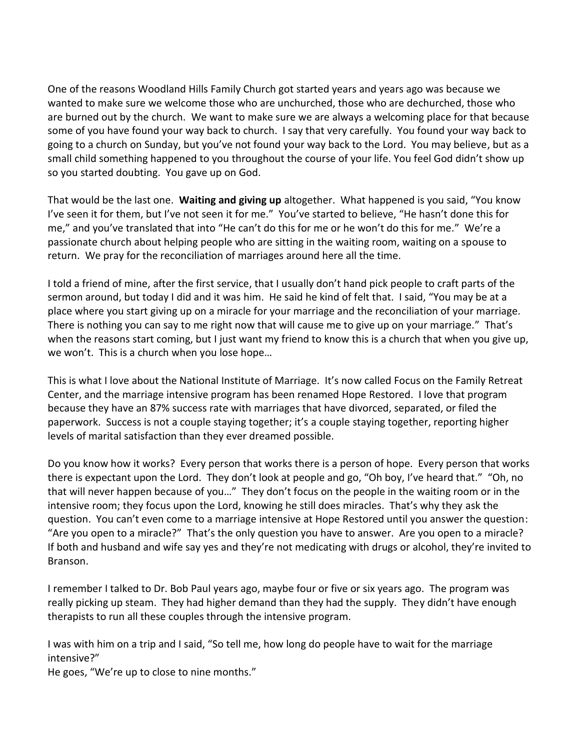One of the reasons Woodland Hills Family Church got started years and years ago was because we wanted to make sure we welcome those who are unchurched, those who are dechurched, those who are burned out by the church. We want to make sure we are always a welcoming place for that because some of you have found your way back to church. I say that very carefully. You found your way back to going to a church on Sunday, but you've not found your way back to the Lord. You may believe, but as a small child something happened to you throughout the course of your life. You feel God didn't show up so you started doubting. You gave up on God.

That would be the last one. **Waiting and giving up** altogether. What happened is you said, "You know I've seen it for them, but I've not seen it for me." You've started to believe, "He hasn't done this for me," and you've translated that into "He can't do this for me or he won't do this for me." We're a passionate church about helping people who are sitting in the waiting room, waiting on a spouse to return. We pray for the reconciliation of marriages around here all the time.

I told a friend of mine, after the first service, that I usually don't hand pick people to craft parts of the sermon around, but today I did and it was him. He said he kind of felt that. I said, "You may be at a place where you start giving up on a miracle for your marriage and the reconciliation of your marriage. There is nothing you can say to me right now that will cause me to give up on your marriage." That's when the reasons start coming, but I just want my friend to know this is a church that when you give up, we won't. This is a church when you lose hope…

This is what I love about the National Institute of Marriage. It's now called Focus on the Family Retreat Center, and the marriage intensive program has been renamed Hope Restored. I love that program because they have an 87% success rate with marriages that have divorced, separated, or filed the paperwork. Success is not a couple staying together; it's a couple staying together, reporting higher levels of marital satisfaction than they ever dreamed possible.

Do you know how it works? Every person that works there is a person of hope. Every person that works there is expectant upon the Lord. They don't look at people and go, "Oh boy, I've heard that." "Oh, no that will never happen because of you…" They don't focus on the people in the waiting room or in the intensive room; they focus upon the Lord, knowing he still does miracles. That's why they ask the question. You can't even come to a marriage intensive at Hope Restored until you answer the question: "Are you open to a miracle?" That's the only question you have to answer. Are you open to a miracle? If both and husband and wife say yes and they're not medicating with drugs or alcohol, they're invited to Branson.

I remember I talked to Dr. Bob Paul years ago, maybe four or five or six years ago. The program was really picking up steam. They had higher demand than they had the supply. They didn't have enough therapists to run all these couples through the intensive program.

I was with him on a trip and I said, "So tell me, how long do people have to wait for the marriage intensive?"

He goes, "We're up to close to nine months."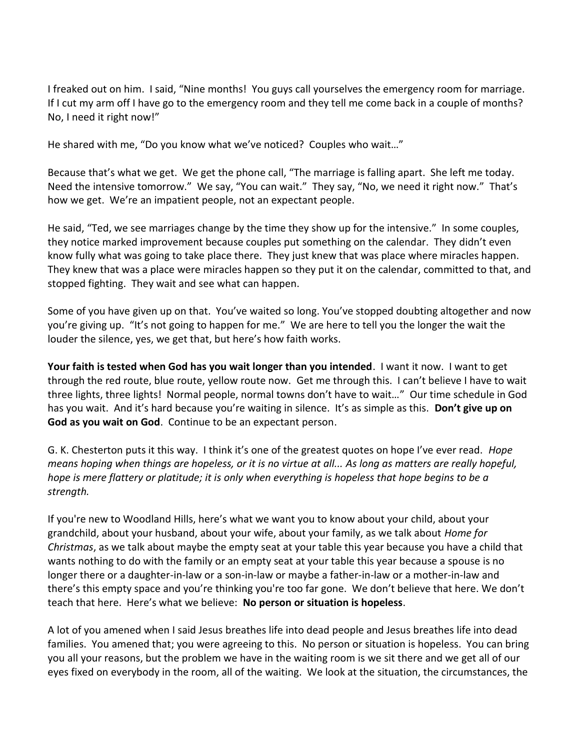I freaked out on him. I said, "Nine months! You guys call yourselves the emergency room for marriage. If I cut my arm off I have go to the emergency room and they tell me come back in a couple of months? No, I need it right now!"

He shared with me, "Do you know what we've noticed? Couples who wait…"

Because that's what we get. We get the phone call, "The marriage is falling apart. She left me today. Need the intensive tomorrow." We say, "You can wait." They say, "No, we need it right now." That's how we get. We're an impatient people, not an expectant people.

He said, "Ted, we see marriages change by the time they show up for the intensive." In some couples, they notice marked improvement because couples put something on the calendar. They didn't even know fully what was going to take place there. They just knew that was place where miracles happen. They knew that was a place were miracles happen so they put it on the calendar, committed to that, and stopped fighting. They wait and see what can happen.

Some of you have given up on that. You've waited so long. You've stopped doubting altogether and now you're giving up. "It's not going to happen for me." We are here to tell you the longer the wait the louder the silence, yes, we get that, but here's how faith works.

**Your faith is tested when God has you wait longer than you intended**. I want it now. I want to get through the red route, blue route, yellow route now. Get me through this. I can't believe I have to wait three lights, three lights! Normal people, normal towns don't have to wait…" Our time schedule in God has you wait. And it's hard because you're waiting in silence. It's as simple as this. **Don't give up on God as you wait on God**. Continue to be an expectant person.

G. K. Chesterton puts it this way. I think it's one of the greatest quotes on hope I've ever read. *Hope means hoping when things are hopeless, or it is no virtue at all... As long as matters are really hopeful, hope is mere flattery or platitude; it is only when everything is hopeless that hope begins to be a strength.*

If you're new to Woodland Hills, here's what we want you to know about your child, about your grandchild, about your husband, about your wife, about your family, as we talk about *Home for Christmas*, as we talk about maybe the empty seat at your table this year because you have a child that wants nothing to do with the family or an empty seat at your table this year because a spouse is no longer there or a daughter-in-law or a son-in-law or maybe a father-in-law or a mother-in-law and there's this empty space and you're thinking you're too far gone. We don't believe that here. We don't teach that here. Here's what we believe: **No person or situation is hopeless**.

A lot of you amened when I said Jesus breathes life into dead people and Jesus breathes life into dead families. You amened that; you were agreeing to this. No person or situation is hopeless. You can bring you all your reasons, but the problem we have in the waiting room is we sit there and we get all of our eyes fixed on everybody in the room, all of the waiting. We look at the situation, the circumstances, the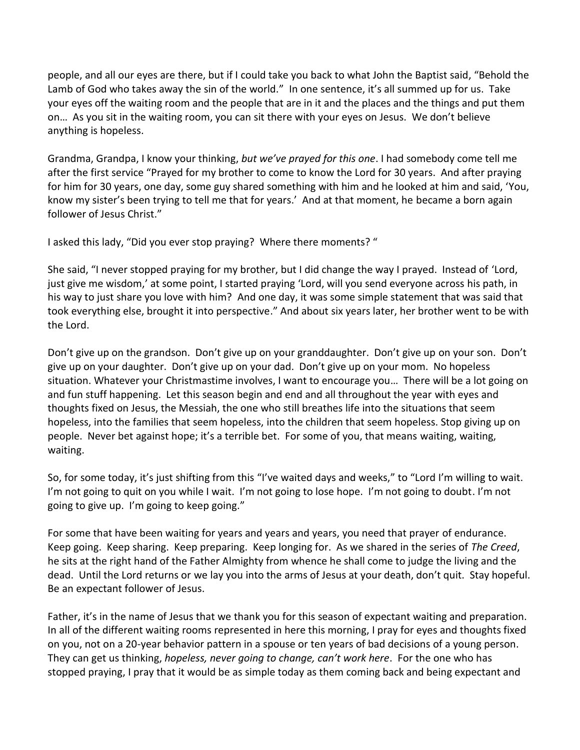people, and all our eyes are there, but if I could take you back to what John the Baptist said, "Behold the Lamb of God who takes away the sin of the world." In one sentence, it's all summed up for us. Take your eyes off the waiting room and the people that are in it and the places and the things and put them on… As you sit in the waiting room, you can sit there with your eyes on Jesus. We don't believe anything is hopeless.

Grandma, Grandpa, I know your thinking, *but we've prayed for this one*. I had somebody come tell me after the first service "Prayed for my brother to come to know the Lord for 30 years. And after praying for him for 30 years, one day, some guy shared something with him and he looked at him and said, 'You, know my sister's been trying to tell me that for years.' And at that moment, he became a born again follower of Jesus Christ."

I asked this lady, "Did you ever stop praying? Where there moments? "

She said, "I never stopped praying for my brother, but I did change the way I prayed. Instead of 'Lord, just give me wisdom,' at some point, I started praying 'Lord, will you send everyone across his path, in his way to just share you love with him? And one day, it was some simple statement that was said that took everything else, brought it into perspective." And about six years later, her brother went to be with the Lord.

Don't give up on the grandson. Don't give up on your granddaughter. Don't give up on your son. Don't give up on your daughter. Don't give up on your dad. Don't give up on your mom. No hopeless situation. Whatever your Christmastime involves, I want to encourage you… There will be a lot going on and fun stuff happening. Let this season begin and end and all throughout the year with eyes and thoughts fixed on Jesus, the Messiah, the one who still breathes life into the situations that seem hopeless, into the families that seem hopeless, into the children that seem hopeless. Stop giving up on people. Never bet against hope; it's a terrible bet. For some of you, that means waiting, waiting, waiting.

So, for some today, it's just shifting from this "I've waited days and weeks," to "Lord I'm willing to wait. I'm not going to quit on you while I wait. I'm not going to lose hope. I'm not going to doubt. I'm not going to give up. I'm going to keep going."

For some that have been waiting for years and years and years, you need that prayer of endurance. Keep going. Keep sharing. Keep preparing. Keep longing for. As we shared in the series of *The Creed*, he sits at the right hand of the Father Almighty from whence he shall come to judge the living and the dead. Until the Lord returns or we lay you into the arms of Jesus at your death, don't quit. Stay hopeful. Be an expectant follower of Jesus.

Father, it's in the name of Jesus that we thank you for this season of expectant waiting and preparation. In all of the different waiting rooms represented in here this morning, I pray for eyes and thoughts fixed on you, not on a 20-year behavior pattern in a spouse or ten years of bad decisions of a young person. They can get us thinking, *hopeless, never going to change, can't work here*. For the one who has stopped praying, I pray that it would be as simple today as them coming back and being expectant and